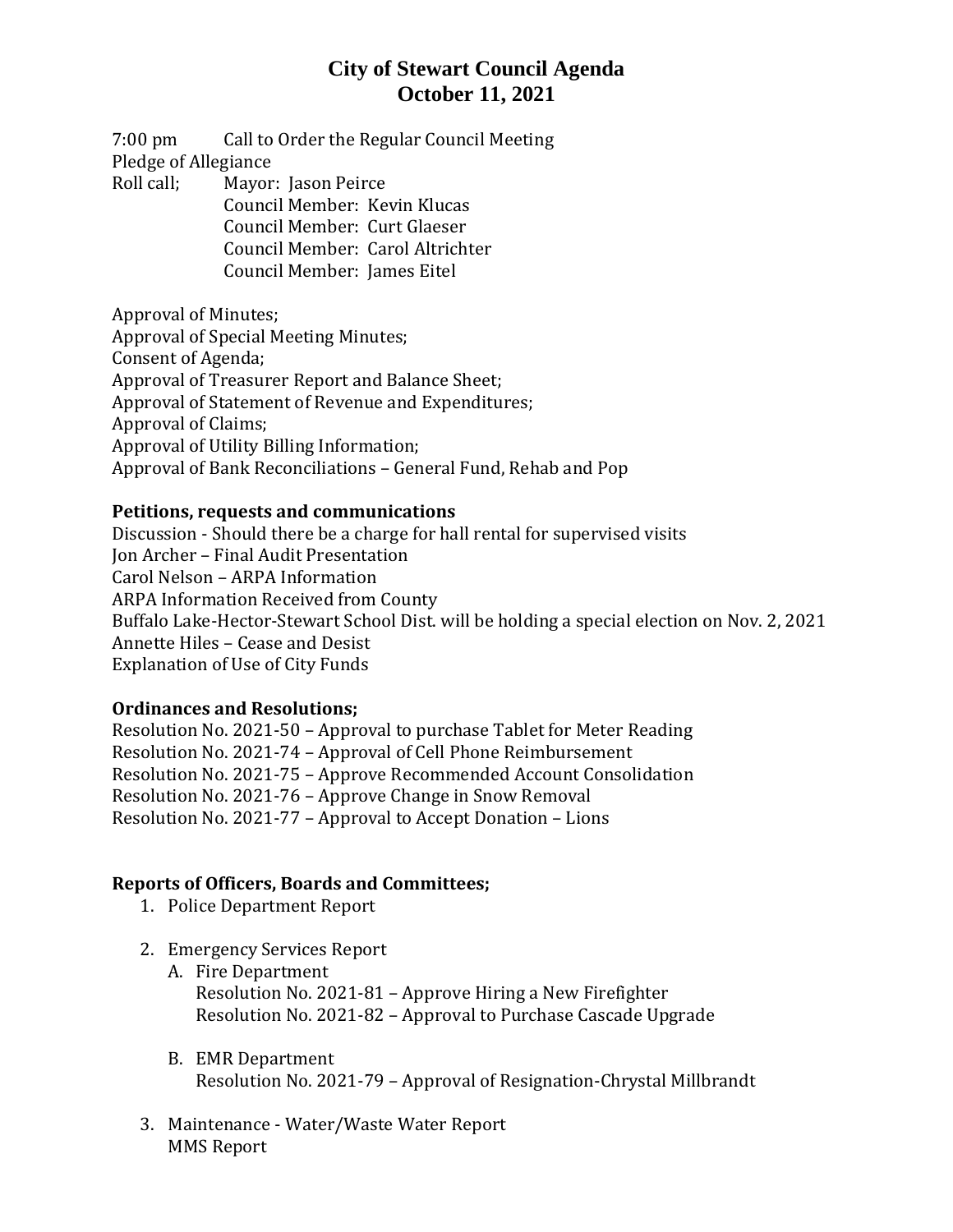## **City of Stewart Council Agenda October 11, 2021**

7:00 pm Call to Order the Regular Council Meeting Pledge of Allegiance Roll call; Mayor: Jason Peirce

Council Member: Kevin Klucas Council Member: Curt Glaeser Council Member: Carol Altrichter Council Member: James Eitel

Approval of Minutes; Approval of Special Meeting Minutes; Consent of Agenda; Approval of Treasurer Report and Balance Sheet; Approval of Statement of Revenue and Expenditures; Approval of Claims; Approval of Utility Billing Information; Approval of Bank Reconciliations – General Fund, Rehab and Pop

#### **Petitions, requests and communications**

Discussion - Should there be a charge for hall rental for supervised visits Jon Archer – Final Audit Presentation Carol Nelson – ARPA Information ARPA Information Received from County Buffalo Lake-Hector-Stewart School Dist. will be holding a special election on Nov. 2, 2021 Annette Hiles – Cease and Desist Explanation of Use of City Funds

#### **Ordinances and Resolutions;**

Resolution No. 2021-50 – Approval to purchase Tablet for Meter Reading Resolution No. 2021-74 – Approval of Cell Phone Reimbursement Resolution No. 2021-75 – Approve Recommended Account Consolidation Resolution No. 2021-76 – Approve Change in Snow Removal Resolution No. 2021-77 – Approval to Accept Donation – Lions

### **Reports of Officers, Boards and Committees;**

- 1. Police Department Report
- 2. Emergency Services Report
	- A. Fire Department Resolution No. 2021-81 – Approve Hiring a New Firefighter Resolution No. 2021-82 – Approval to Purchase Cascade Upgrade
	- B. EMR Department Resolution No. 2021-79 – Approval of Resignation-Chrystal Millbrandt
- 3. Maintenance Water/Waste Water Report MMS Report